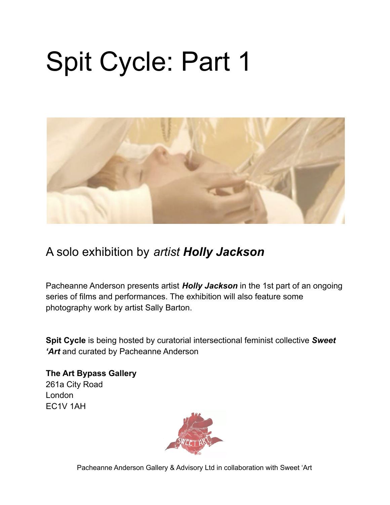# Spit Cycle: Part 1



#### A solo exhibition by *artist Holly Jackson*

Pacheanne Anderson presents artist *Holly Jackson* in the 1st part of an ongoing series of films and performances. The exhibition will also feature some photography work by artist Sally Barton.

**Spit Cycle** is being hosted by curatorial intersectional feminist collective *Sweet 'Art* and curated by Pacheanne Anderson

**The Art Bypass Gallery** 261a City Road London EC1V 1AH

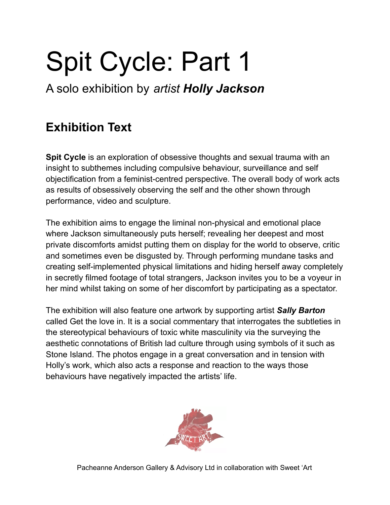# Spit Cycle: Part 1

A solo exhibition by *artist Holly Jackson*

### **Exhibition Text**

**Spit Cycle** is an exploration of obsessive thoughts and sexual trauma with an insight to subthemes including compulsive behaviour, surveillance and self objectification from a feminist-centred perspective. The overall body of work acts as results of obsessively observing the self and the other shown through performance, video and sculpture.

The exhibition aims to engage the liminal non-physical and emotional place where Jackson simultaneously puts herself; revealing her deepest and most private discomforts amidst putting them on display for the world to observe, critic and sometimes even be disgusted by. Through performing mundane tasks and creating self-implemented physical limitations and hiding herself away completely in secretly filmed footage of total strangers, Jackson invites you to be a voyeur in her mind whilst taking on some of her discomfort by participating as a spectator.

The exhibition will also feature one artwork by supporting artist *Sally Barton* called Get the love in. It is a social commentary that interrogates the subtleties in the stereotypical behaviours of toxic white masculinity via the surveying the aesthetic connotations of British lad culture through using symbols of it such as Stone Island. The photos engage in a great conversation and in tension with Holly's work, which also acts a response and reaction to the ways those behaviours have negatively impacted the artists' life.

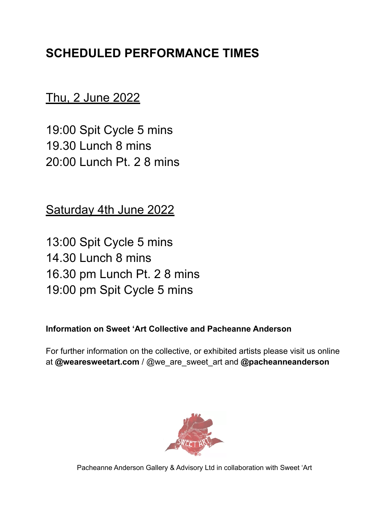#### **SCHEDULED PERFORMANCE TIMES**

Thu, 2 June 2022

19:00 Spit Cycle 5 mins 19.30 Lunch 8 mins 20:00 Lunch Pt. 2 8 mins

Saturday 4th June 2022

13:00 Spit Cycle 5 mins 14.30 Lunch 8 mins 16.30 pm Lunch Pt. 2 8 mins 19:00 pm Spit Cycle 5 mins

**Information on Sweet 'Art Collective and Pacheanne Anderson**

For further information on the collective, or exhibited artists please visit us online at **@wearesweetart.com** / @we\_are\_sweet\_art and **@pacheanneanderson**

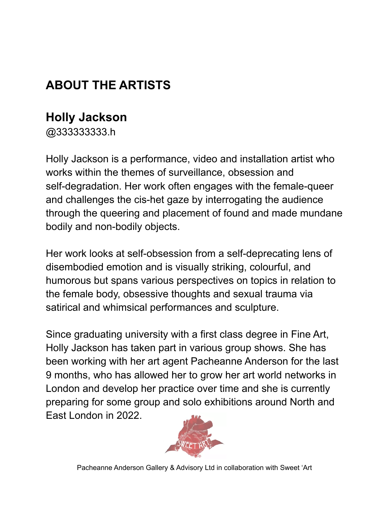### **ABOUT THE ARTISTS**

#### **Holly [Jackson](https://www.artrabbit.com/people/holly-jackson/artist)**

@333333333.h

Holly Jackson is a performance, video and installation artist who works within the themes of surveillance, obsession and self-degradation. Her work often engages with the female-queer and challenges the cis-het gaze by interrogating the audience through the queering and placement of found and made mundane bodily and non-bodily objects.

Her work looks at self-obsession from a self-deprecating lens of disembodied emotion and is visually striking, colourful, and humorous but spans various perspectives on topics in relation to the female body, obsessive thoughts and sexual trauma via satirical and whimsical performances and sculpture.

Since graduating university with a first class degree in Fine Art, Holly Jackson has taken part in various group shows. She has been working with her art agent Pacheanne Anderson for the last 9 months, who has allowed her to grow her art world networks in London and develop her practice over time and she is currently preparing for some group and solo exhibitions around North and East London in 2022.